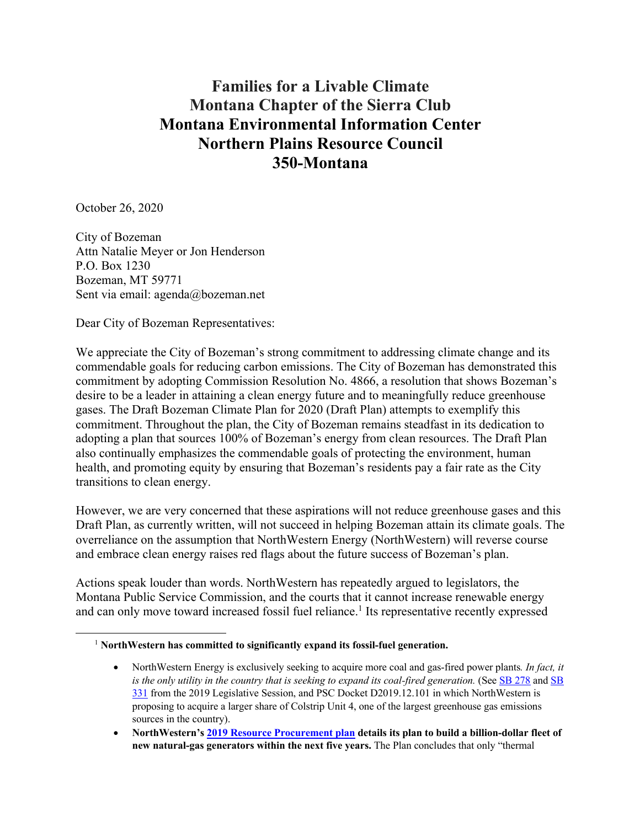# **Families for a Livable Climate Montana Chapter of the Sierra Club Montana Environmental Information Center Northern Plains Resource Council 350-Montana**

October 26, 2020

City of Bozeman Attn Natalie Meyer or Jon Henderson P.O. Box 1230 Bozeman, MT 59771 Sent via email: agenda@bozeman.net

Dear City of Bozeman Representatives:

We appreciate the City of Bozeman's strong commitment to addressing climate change and its commendable goals for reducing carbon emissions. The City of Bozeman has demonstrated this commitment by adopting Commission Resolution No. 4866, a resolution that shows Bozeman's desire to be a leader in attaining a clean energy future and to meaningfully reduce greenhouse gases. The Draft Bozeman Climate Plan for 2020 (Draft Plan) attempts to exemplify this commitment. Throughout the plan, the City of Bozeman remains steadfast in its dedication to adopting a plan that sources 100% of Bozeman's energy from clean resources. The Draft Plan also continually emphasizes the commendable goals of protecting the environment, human health, and promoting equity by ensuring that Bozeman's residents pay a fair rate as the City transitions to clean energy.

However, we are very concerned that these aspirations will not reduce greenhouse gases and this Draft Plan, as currently written, will not succeed in helping Bozeman attain its climate goals. The overreliance on the assumption that NorthWestern Energy (NorthWestern) will reverse course and embrace clean energy raises red flags about the future success of Bozeman's plan.

Actions speak louder than words. NorthWestern has repeatedly argued to legislators, the Montana Public Service Commission, and the courts that it cannot increase renewable energy and can only move toward increased fossil fuel reliance.<sup>1</sup> Its representative recently expressed

<sup>1</sup> **NorthWestern has committed to significantly expand its fossil-fuel generation.** 

<sup>•</sup> NorthWestern Energy is exclusively seeking to acquire more coal and gas-fired power plants*. In fact, it is the only utility in the country that is seeking to expand its coal-fired generation.* (See SB 278 and SB 331 from the 2019 Legislative Session, and PSC Docket D2019.12.101 in which NorthWestern is proposing to acquire a larger share of Colstrip Unit 4, one of the largest greenhouse gas emissions sources in the country).

<sup>•</sup> **NorthWestern's 2019 Resource Procurement plan details its plan to build a billion-dollar fleet of new natural-gas generators within the next five years.** The Plan concludes that only "thermal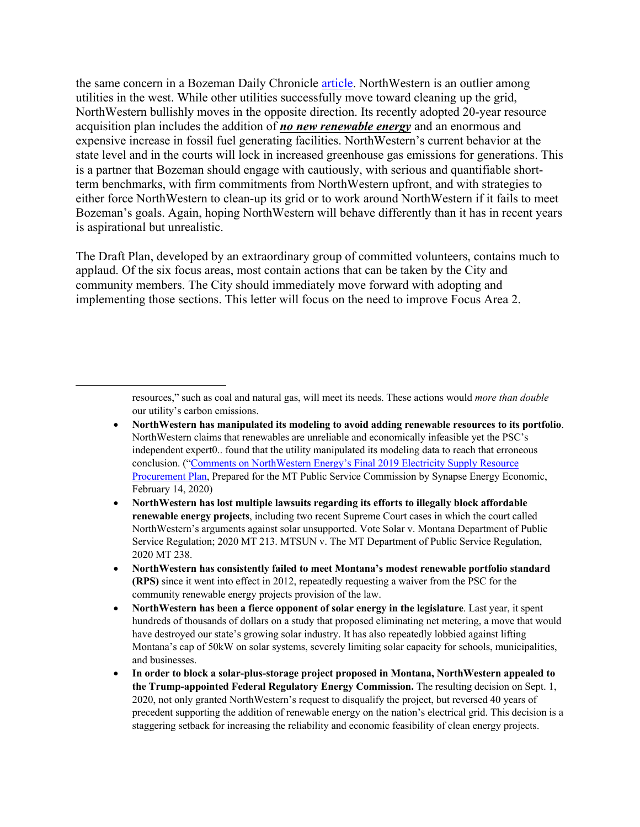the same concern in a Bozeman Daily Chronicle article. NorthWestern is an outlier among utilities in the west. While other utilities successfully move toward cleaning up the grid, NorthWestern bullishly moves in the opposite direction. Its recently adopted 20-year resource acquisition plan includes the addition of *no new renewable energy* and an enormous and expensive increase in fossil fuel generating facilities. NorthWestern's current behavior at the state level and in the courts will lock in increased greenhouse gas emissions for generations. This is a partner that Bozeman should engage with cautiously, with serious and quantifiable shortterm benchmarks, with firm commitments from NorthWestern upfront, and with strategies to either force NorthWestern to clean-up its grid or to work around NorthWestern if it fails to meet Bozeman's goals. Again, hoping NorthWestern will behave differently than it has in recent years is aspirational but unrealistic.

The Draft Plan, developed by an extraordinary group of committed volunteers, contains much to applaud. Of the six focus areas, most contain actions that can be taken by the City and community members. The City should immediately move forward with adopting and implementing those sections. This letter will focus on the need to improve Focus Area 2.

> resources," such as coal and natural gas, will meet its needs. These actions would *more than double* our utility's carbon emissions.

- **NorthWestern has manipulated its modeling to avoid adding renewable resources to its portfolio**. NorthWestern claims that renewables are unreliable and economically infeasible yet the PSC's independent expert0.. found that the utility manipulated its modeling data to reach that erroneous conclusion. ("Comments on NorthWestern Energy's Final 2019 Electricity Supply Resource Procurement Plan, Prepared for the MT Public Service Commission by Synapse Energy Economic, February 14, 2020)
- **NorthWestern has lost multiple lawsuits regarding its efforts to illegally block affordable renewable energy projects**, including two recent Supreme Court cases in which the court called NorthWestern's arguments against solar unsupported. Vote Solar v. Montana Department of Public Service Regulation; 2020 MT 213. MTSUN v. The MT Department of Public Service Regulation, 2020 MT 238.
- **NorthWestern has consistently failed to meet Montana's modest renewable portfolio standard (RPS)** since it went into effect in 2012, repeatedly requesting a waiver from the PSC for the community renewable energy projects provision of the law.
- **NorthWestern has been a fierce opponent of solar energy in the legislature**. Last year, it spent hundreds of thousands of dollars on a study that proposed eliminating net metering, a move that would have destroyed our state's growing solar industry. It has also repeatedly lobbied against lifting Montana's cap of 50kW on solar systems, severely limiting solar capacity for schools, municipalities, and businesses.
- **In order to block a solar-plus-storage project proposed in Montana, NorthWestern appealed to the Trump-appointed Federal Regulatory Energy Commission.** The resulting decision on Sept. 1, 2020, not only granted NorthWestern's request to disqualify the project, but reversed 40 years of precedent supporting the addition of renewable energy on the nation's electrical grid. This decision is a staggering setback for increasing the reliability and economic feasibility of clean energy projects.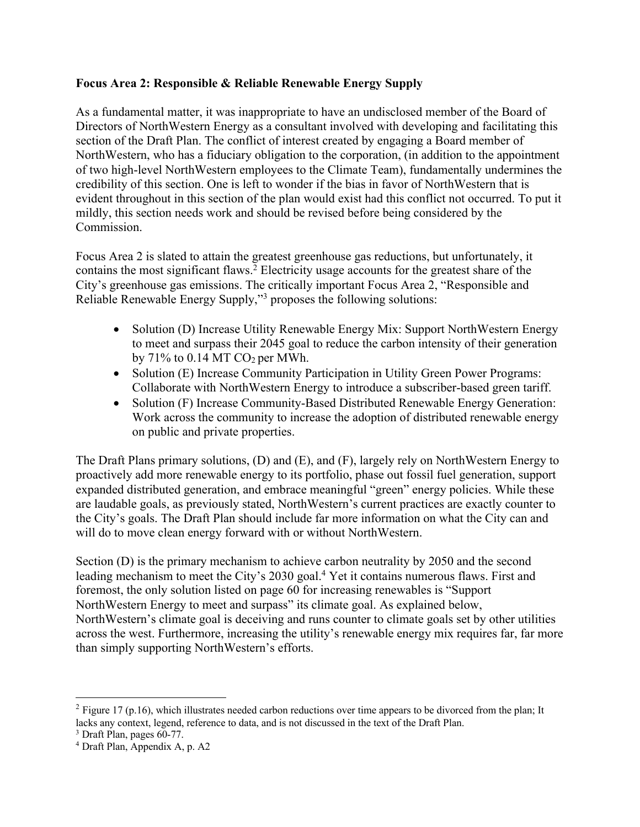#### **Focus Area 2: Responsible & Reliable Renewable Energy Supply**

As a fundamental matter, it was inappropriate to have an undisclosed member of the Board of Directors of NorthWestern Energy as a consultant involved with developing and facilitating this section of the Draft Plan. The conflict of interest created by engaging a Board member of NorthWestern, who has a fiduciary obligation to the corporation, (in addition to the appointment of two high-level NorthWestern employees to the Climate Team), fundamentally undermines the credibility of this section. One is left to wonder if the bias in favor of NorthWestern that is evident throughout in this section of the plan would exist had this conflict not occurred. To put it mildly, this section needs work and should be revised before being considered by the Commission.

Focus Area 2 is slated to attain the greatest greenhouse gas reductions, but unfortunately, it contains the most significant flaws. <sup>2</sup> Electricity usage accounts for the greatest share of the City's greenhouse gas emissions. The critically important Focus Area 2, "Responsible and Reliable Renewable Energy Supply,"3 proposes the following solutions:

- Solution (D) Increase Utility Renewable Energy Mix: Support NorthWestern Energy to meet and surpass their 2045 goal to reduce the carbon intensity of their generation by  $71\%$  to 0.14 MT CO<sub>2</sub> per MWh.
- Solution (E) Increase Community Participation in Utility Green Power Programs: Collaborate with NorthWestern Energy to introduce a subscriber-based green tariff.
- Solution (F) Increase Community-Based Distributed Renewable Energy Generation: Work across the community to increase the adoption of distributed renewable energy on public and private properties.

The Draft Plans primary solutions, (D) and (E), and (F), largely rely on NorthWestern Energy to proactively add more renewable energy to its portfolio, phase out fossil fuel generation, support expanded distributed generation, and embrace meaningful "green" energy policies. While these are laudable goals, as previously stated, NorthWestern's current practices are exactly counter to the City's goals. The Draft Plan should include far more information on what the City can and will do to move clean energy forward with or without NorthWestern.

Section (D) is the primary mechanism to achieve carbon neutrality by 2050 and the second leading mechanism to meet the City's 2030 goal.<sup>4</sup> Yet it contains numerous flaws. First and foremost, the only solution listed on page 60 for increasing renewables is "Support NorthWestern Energy to meet and surpass" its climate goal. As explained below, NorthWestern's climate goal is deceiving and runs counter to climate goals set by other utilities across the west. Furthermore, increasing the utility's renewable energy mix requires far, far more than simply supporting NorthWestern's efforts.

<sup>&</sup>lt;sup>2</sup> Figure 17 (p.16), which illustrates needed carbon reductions over time appears to be divorced from the plan; It lacks any context, legend, reference to data, and is not discussed in the text of the Draft Plan.

 $3$  Draft Plan, pages 60-77.<br> $4$  Draft Plan, Appendix A, p. A2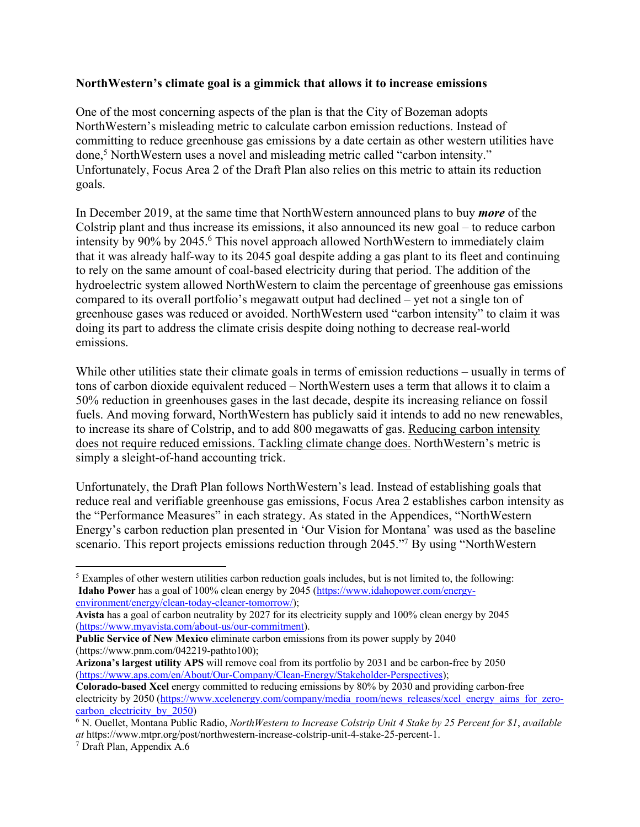#### **NorthWestern's climate goal is a gimmick that allows it to increase emissions**

One of the most concerning aspects of the plan is that the City of Bozeman adopts NorthWestern's misleading metric to calculate carbon emission reductions. Instead of committing to reduce greenhouse gas emissions by a date certain as other western utilities have done, <sup>5</sup> NorthWestern uses a novel and misleading metric called "carbon intensity." Unfortunately, Focus Area 2 of the Draft Plan also relies on this metric to attain its reduction goals.

In December 2019, at the same time that NorthWestern announced plans to buy *more* of the Colstrip plant and thus increase its emissions, it also announced its new goal – to reduce carbon intensity by 90% by 2045.6 This novel approach allowed NorthWestern to immediately claim that it was already half-way to its 2045 goal despite adding a gas plant to its fleet and continuing to rely on the same amount of coal-based electricity during that period. The addition of the hydroelectric system allowed NorthWestern to claim the percentage of greenhouse gas emissions compared to its overall portfolio's megawatt output had declined – yet not a single ton of greenhouse gases was reduced or avoided. NorthWestern used "carbon intensity" to claim it was doing its part to address the climate crisis despite doing nothing to decrease real-world emissions.

While other utilities state their climate goals in terms of emission reductions – usually in terms of tons of carbon dioxide equivalent reduced – NorthWestern uses a term that allows it to claim a 50% reduction in greenhouses gases in the last decade, despite its increasing reliance on fossil fuels. And moving forward, NorthWestern has publicly said it intends to add no new renewables, to increase its share of Colstrip, and to add 800 megawatts of gas. Reducing carbon intensity does not require reduced emissions. Tackling climate change does. NorthWestern's metric is simply a sleight-of-hand accounting trick.

Unfortunately, the Draft Plan follows NorthWestern's lead. Instead of establishing goals that reduce real and verifiable greenhouse gas emissions, Focus Area 2 establishes carbon intensity as the "Performance Measures" in each strategy. As stated in the Appendices, "NorthWestern Energy's carbon reduction plan presented in 'Our Vision for Montana' was used as the baseline scenario. This report projects emissions reduction through 2045."7 By using "NorthWestern

**Arizona's largest utility APS** will remove coal from its portfolio by 2031 and be carbon-free by 2050 (https://www.aps.com/en/About/Our-Company/Clean-Energy/Stakeholder-Perspectives);

<sup>5</sup> Examples of other western utilities carbon reduction goals includes, but is not limited to, the following: **Idaho Power** has a goal of 100% clean energy by 2045 (https://www.idahopower.com/energyenvironment/energy/clean-today-cleaner-tomorrow/);

**Avista** has a goal of carbon neutrality by 2027 for its electricity supply and 100% clean energy by 2045 (https://www.myavista.com/about-us/our-commitment).

**Public Service of New Mexico** eliminate carbon emissions from its power supply by 2040 (https://www.pnm.com/042219-pathto100);

**Colorado-based Xcel** energy committed to reducing emissions by 80% by 2030 and providing carbon-free electricity by 2050 (https://www.xcelenergy.com/company/media\_room/news\_releases/xcel\_energy\_aims\_for\_zerocarbon electricity by 2050)

<sup>6</sup> N. Ouellet, Montana Public Radio, *NorthWestern to Increase Colstrip Unit 4 Stake by 25 Percent for \$1*, *available at* https://www.mtpr.org/post/northwestern-increase-colstrip-unit-4-stake-25-percent-1.

<sup>7</sup> Draft Plan, Appendix A.6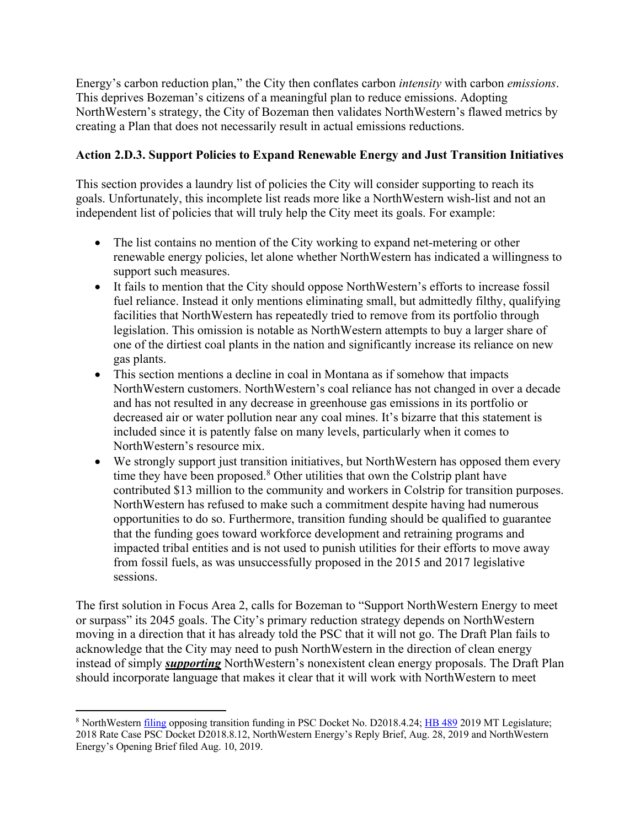Energy's carbon reduction plan," the City then conflates carbon *intensity* with carbon *emissions*. This deprives Bozeman's citizens of a meaningful plan to reduce emissions. Adopting NorthWestern's strategy, the City of Bozeman then validates NorthWestern's flawed metrics by creating a Plan that does not necessarily result in actual emissions reductions.

### **Action 2.D.3. Support Policies to Expand Renewable Energy and Just Transition Initiatives**

This section provides a laundry list of policies the City will consider supporting to reach its goals. Unfortunately, this incomplete list reads more like a NorthWestern wish-list and not an independent list of policies that will truly help the City meet its goals. For example:

- The list contains no mention of the City working to expand net-metering or other renewable energy policies, let alone whether NorthWestern has indicated a willingness to support such measures.
- It fails to mention that the City should oppose NorthWestern's efforts to increase fossil fuel reliance. Instead it only mentions eliminating small, but admittedly filthy, qualifying facilities that NorthWestern has repeatedly tried to remove from its portfolio through legislation. This omission is notable as NorthWestern attempts to buy a larger share of one of the dirtiest coal plants in the nation and significantly increase its reliance on new gas plants.
- This section mentions a decline in coal in Montana as if somehow that impacts NorthWestern customers. NorthWestern's coal reliance has not changed in over a decade and has not resulted in any decrease in greenhouse gas emissions in its portfolio or decreased air or water pollution near any coal mines. It's bizarre that this statement is included since it is patently false on many levels, particularly when it comes to NorthWestern's resource mix.
- We strongly support just transition initiatives, but NorthWestern has opposed them every time they have been proposed.<sup>8</sup> Other utilities that own the Colstrip plant have contributed \$13 million to the community and workers in Colstrip for transition purposes. NorthWestern has refused to make such a commitment despite having had numerous opportunities to do so. Furthermore, transition funding should be qualified to guarantee that the funding goes toward workforce development and retraining programs and impacted tribal entities and is not used to punish utilities for their efforts to move away from fossil fuels, as was unsuccessfully proposed in the 2015 and 2017 legislative sessions.

The first solution in Focus Area 2, calls for Bozeman to "Support NorthWestern Energy to meet or surpass" its 2045 goals. The City's primary reduction strategy depends on NorthWestern moving in a direction that it has already told the PSC that it will not go. The Draft Plan fails to acknowledge that the City may need to push NorthWestern in the direction of clean energy instead of simply *supporting* NorthWestern's nonexistent clean energy proposals. The Draft Plan should incorporate language that makes it clear that it will work with NorthWestern to meet

<sup>&</sup>lt;sup>8</sup> NorthWestern *filing* opposing transition funding in PSC Docket No. D2018.4.24; HB 489 2019 MT Legislature; 2018 Rate Case PSC Docket D2018.8.12, NorthWestern Energy's Reply Brief, Aug. 28, 2019 and NorthWestern Energy's Opening Brief filed Aug. 10, 2019.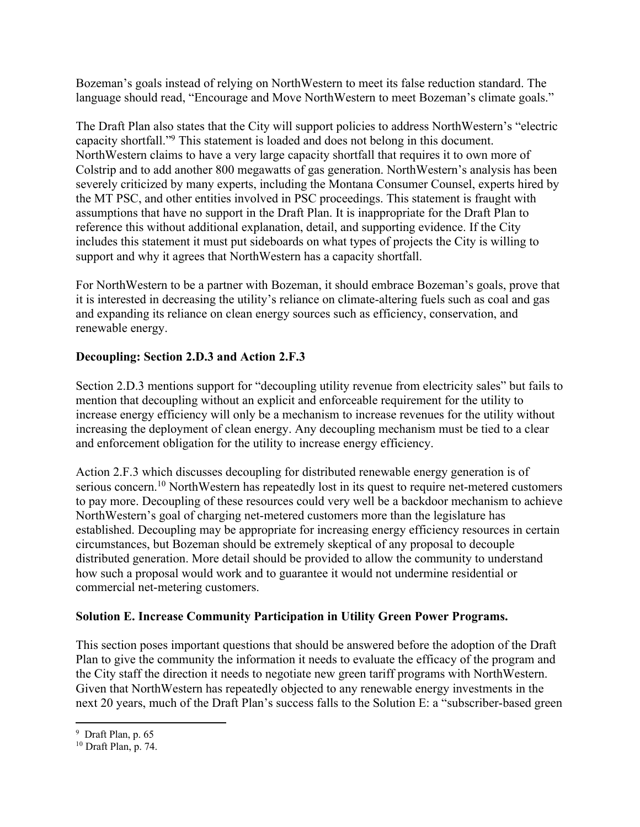Bozeman's goals instead of relying on NorthWestern to meet its false reduction standard. The language should read, "Encourage and Move NorthWestern to meet Bozeman's climate goals."

The Draft Plan also states that the City will support policies to address NorthWestern's "electric capacity shortfall."9 This statement is loaded and does not belong in this document. NorthWestern claims to have a very large capacity shortfall that requires it to own more of Colstrip and to add another 800 megawatts of gas generation. NorthWestern's analysis has been severely criticized by many experts, including the Montana Consumer Counsel, experts hired by the MT PSC, and other entities involved in PSC proceedings. This statement is fraught with assumptions that have no support in the Draft Plan. It is inappropriate for the Draft Plan to reference this without additional explanation, detail, and supporting evidence. If the City includes this statement it must put sideboards on what types of projects the City is willing to support and why it agrees that NorthWestern has a capacity shortfall.

For NorthWestern to be a partner with Bozeman, it should embrace Bozeman's goals, prove that it is interested in decreasing the utility's reliance on climate-altering fuels such as coal and gas and expanding its reliance on clean energy sources such as efficiency, conservation, and renewable energy.

## **Decoupling: Section 2.D.3 and Action 2.F.3**

Section 2.D.3 mentions support for "decoupling utility revenue from electricity sales" but fails to mention that decoupling without an explicit and enforceable requirement for the utility to increase energy efficiency will only be a mechanism to increase revenues for the utility without increasing the deployment of clean energy. Any decoupling mechanism must be tied to a clear and enforcement obligation for the utility to increase energy efficiency.

Action 2.F.3 which discusses decoupling for distributed renewable energy generation is of serious concern.<sup>10</sup> NorthWestern has repeatedly lost in its quest to require net-metered customers to pay more. Decoupling of these resources could very well be a backdoor mechanism to achieve NorthWestern's goal of charging net-metered customers more than the legislature has established. Decoupling may be appropriate for increasing energy efficiency resources in certain circumstances, but Bozeman should be extremely skeptical of any proposal to decouple distributed generation. More detail should be provided to allow the community to understand how such a proposal would work and to guarantee it would not undermine residential or commercial net-metering customers.

## **Solution E. Increase Community Participation in Utility Green Power Programs.**

This section poses important questions that should be answered before the adoption of the Draft Plan to give the community the information it needs to evaluate the efficacy of the program and the City staff the direction it needs to negotiate new green tariff programs with NorthWestern. Given that NorthWestern has repeatedly objected to any renewable energy investments in the next 20 years, much of the Draft Plan's success falls to the Solution E: a "subscriber-based green

<sup>9</sup> Draft Plan, p. 65

<sup>10</sup> Draft Plan, p. 74.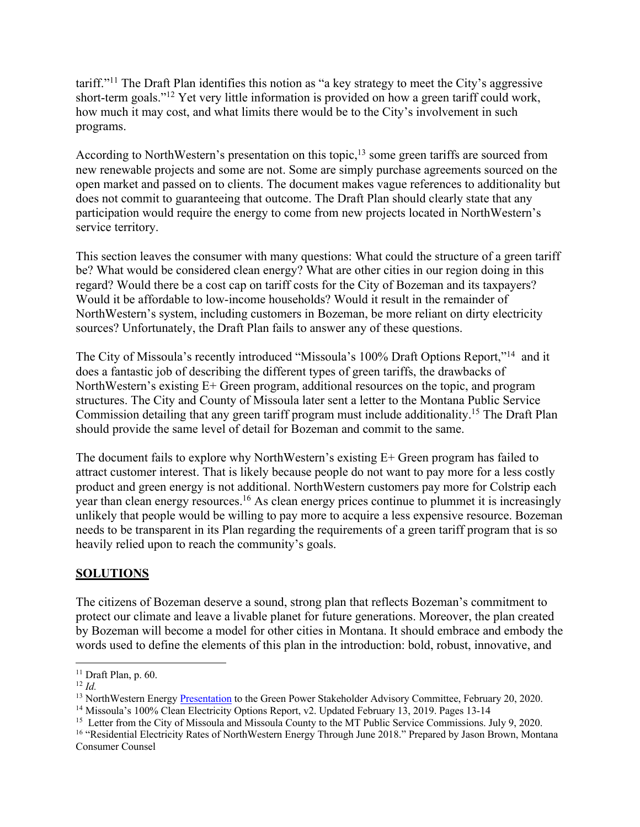tariff."11 The Draft Plan identifies this notion as "a key strategy to meet the City's aggressive short-term goals."12 Yet very little information is provided on how a green tariff could work, how much it may cost, and what limits there would be to the City's involvement in such programs.

According to NorthWestern's presentation on this topic,<sup>13</sup> some green tariffs are sourced from new renewable projects and some are not. Some are simply purchase agreements sourced on the open market and passed on to clients. The document makes vague references to additionality but does not commit to guaranteeing that outcome. The Draft Plan should clearly state that any participation would require the energy to come from new projects located in NorthWestern's service territory.

This section leaves the consumer with many questions: What could the structure of a green tariff be? What would be considered clean energy? What are other cities in our region doing in this regard? Would there be a cost cap on tariff costs for the City of Bozeman and its taxpayers? Would it be affordable to low-income households? Would it result in the remainder of NorthWestern's system, including customers in Bozeman, be more reliant on dirty electricity sources? Unfortunately, the Draft Plan fails to answer any of these questions.

The City of Missoula's recently introduced "Missoula's 100% Draft Options Report,"14 and it does a fantastic job of describing the different types of green tariffs, the drawbacks of NorthWestern's existing E+ Green program, additional resources on the topic, and program structures. The City and County of Missoula later sent a letter to the Montana Public Service Commission detailing that any green tariff program must include additionality.15 The Draft Plan should provide the same level of detail for Bozeman and commit to the same.

The document fails to explore why NorthWestern's existing E+ Green program has failed to attract customer interest. That is likely because people do not want to pay more for a less costly product and green energy is not additional. NorthWestern customers pay more for Colstrip each year than clean energy resources.<sup>16</sup> As clean energy prices continue to plummet it is increasingly unlikely that people would be willing to pay more to acquire a less expensive resource. Bozeman needs to be transparent in its Plan regarding the requirements of a green tariff program that is so heavily relied upon to reach the community's goals.

### **SOLUTIONS**

The citizens of Bozeman deserve a sound, strong plan that reflects Bozeman's commitment to protect our climate and leave a livable planet for future generations. Moreover, the plan created by Bozeman will become a model for other cities in Montana. It should embrace and embody the words used to define the elements of this plan in the introduction: bold, robust, innovative, and

<sup>11</sup> Draft Plan, p. 60.

<sup>&</sup>lt;sup>12</sup> *Id.* NorthWestern Energy Presentation to the Green Power Stakeholder Advisory Committee, February 20, 2020.

<sup>&</sup>lt;sup>14</sup> Missoula's 100% Clean Electricity Options Report, v2. Updated February 13, 2019. Pages 13-14

<sup>&</sup>lt;sup>15</sup> Letter from the City of Missoula and Missoula County to the MT Public Service Commissions. July 9, 2020.<br><sup>16</sup> "Residential Electricity Rates of NorthWestern Energy Through June 2018." Prepared by Jason Brown, Montana

Consumer Counsel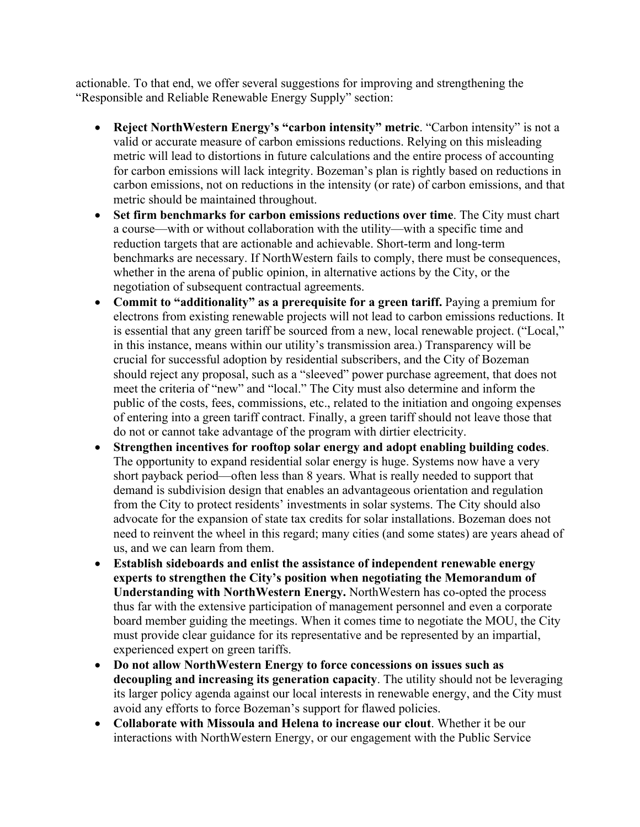actionable. To that end, we offer several suggestions for improving and strengthening the "Responsible and Reliable Renewable Energy Supply" section:

- **Reject NorthWestern Energy's "carbon intensity" metric**. "Carbon intensity" is not a valid or accurate measure of carbon emissions reductions. Relying on this misleading metric will lead to distortions in future calculations and the entire process of accounting for carbon emissions will lack integrity. Bozeman's plan is rightly based on reductions in carbon emissions, not on reductions in the intensity (or rate) of carbon emissions, and that metric should be maintained throughout.
- **Set firm benchmarks for carbon emissions reductions over time**. The City must chart a course—with or without collaboration with the utility—with a specific time and reduction targets that are actionable and achievable. Short-term and long-term benchmarks are necessary. If NorthWestern fails to comply, there must be consequences, whether in the arena of public opinion, in alternative actions by the City, or the negotiation of subsequent contractual agreements.
- **Commit to "additionality" as a prerequisite for a green tariff.** Paying a premium for electrons from existing renewable projects will not lead to carbon emissions reductions. It is essential that any green tariff be sourced from a new, local renewable project. ("Local," in this instance, means within our utility's transmission area.) Transparency will be crucial for successful adoption by residential subscribers, and the City of Bozeman should reject any proposal, such as a "sleeved" power purchase agreement, that does not meet the criteria of "new" and "local." The City must also determine and inform the public of the costs, fees, commissions, etc., related to the initiation and ongoing expenses of entering into a green tariff contract. Finally, a green tariff should not leave those that do not or cannot take advantage of the program with dirtier electricity.
- **Strengthen incentives for rooftop solar energy and adopt enabling building codes**. The opportunity to expand residential solar energy is huge. Systems now have a very short payback period—often less than 8 years. What is really needed to support that demand is subdivision design that enables an advantageous orientation and regulation from the City to protect residents' investments in solar systems. The City should also advocate for the expansion of state tax credits for solar installations. Bozeman does not need to reinvent the wheel in this regard; many cities (and some states) are years ahead of us, and we can learn from them.
- **Establish sideboards and enlist the assistance of independent renewable energy experts to strengthen the City's position when negotiating the Memorandum of Understanding with NorthWestern Energy.** NorthWestern has co-opted the process thus far with the extensive participation of management personnel and even a corporate board member guiding the meetings. When it comes time to negotiate the MOU, the City must provide clear guidance for its representative and be represented by an impartial, experienced expert on green tariffs.
- **Do not allow NorthWestern Energy to force concessions on issues such as decoupling and increasing its generation capacity**. The utility should not be leveraging its larger policy agenda against our local interests in renewable energy, and the City must avoid any efforts to force Bozeman's support for flawed policies.
- **Collaborate with Missoula and Helena to increase our clout**. Whether it be our interactions with NorthWestern Energy, or our engagement with the Public Service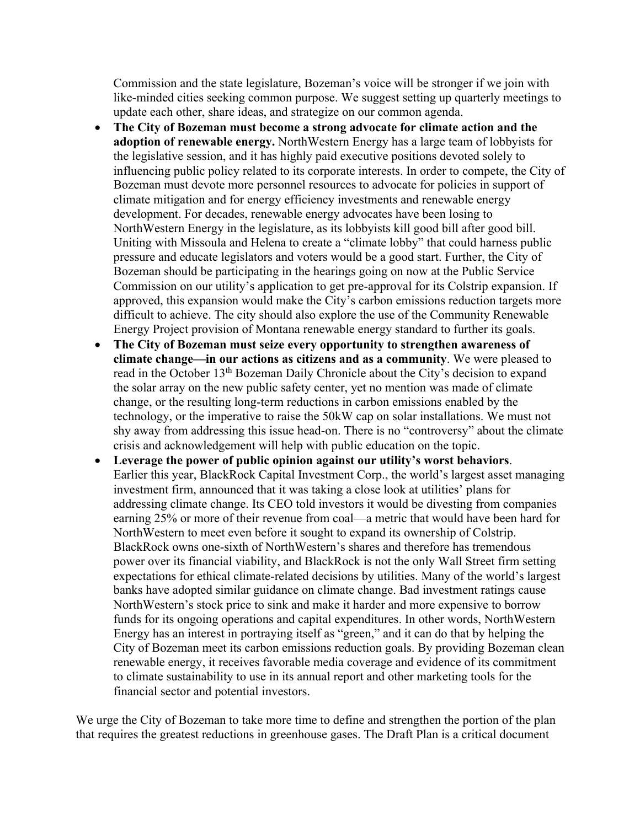Commission and the state legislature, Bozeman's voice will be stronger if we join with like-minded cities seeking common purpose. We suggest setting up quarterly meetings to update each other, share ideas, and strategize on our common agenda.

- **The City of Bozeman must become a strong advocate for climate action and the adoption of renewable energy.** NorthWestern Energy has a large team of lobbyists for the legislative session, and it has highly paid executive positions devoted solely to influencing public policy related to its corporate interests. In order to compete, the City of Bozeman must devote more personnel resources to advocate for policies in support of climate mitigation and for energy efficiency investments and renewable energy development. For decades, renewable energy advocates have been losing to NorthWestern Energy in the legislature, as its lobbyists kill good bill after good bill. Uniting with Missoula and Helena to create a "climate lobby" that could harness public pressure and educate legislators and voters would be a good start. Further, the City of Bozeman should be participating in the hearings going on now at the Public Service Commission on our utility's application to get pre-approval for its Colstrip expansion. If approved, this expansion would make the City's carbon emissions reduction targets more difficult to achieve. The city should also explore the use of the Community Renewable Energy Project provision of Montana renewable energy standard to further its goals.
- **The City of Bozeman must seize every opportunity to strengthen awareness of climate change—in our actions as citizens and as a community**. We were pleased to read in the October 13<sup>th</sup> Bozeman Daily Chronicle about the City's decision to expand the solar array on the new public safety center, yet no mention was made of climate change, or the resulting long-term reductions in carbon emissions enabled by the technology, or the imperative to raise the 50kW cap on solar installations. We must not shy away from addressing this issue head-on. There is no "controversy" about the climate crisis and acknowledgement will help with public education on the topic.
- **Leverage the power of public opinion against our utility's worst behaviors**. Earlier this year, BlackRock Capital Investment Corp., the world's largest asset managing investment firm, announced that it was taking a close look at utilities' plans for addressing climate change. Its CEO told investors it would be divesting from companies earning 25% or more of their revenue from coal—a metric that would have been hard for NorthWestern to meet even before it sought to expand its ownership of Colstrip. BlackRock owns one-sixth of NorthWestern's shares and therefore has tremendous power over its financial viability, and BlackRock is not the only Wall Street firm setting expectations for ethical climate-related decisions by utilities. Many of the world's largest banks have adopted similar guidance on climate change. Bad investment ratings cause NorthWestern's stock price to sink and make it harder and more expensive to borrow funds for its ongoing operations and capital expenditures. In other words, NorthWestern Energy has an interest in portraying itself as "green," and it can do that by helping the City of Bozeman meet its carbon emissions reduction goals. By providing Bozeman clean renewable energy, it receives favorable media coverage and evidence of its commitment to climate sustainability to use in its annual report and other marketing tools for the financial sector and potential investors.

We urge the City of Bozeman to take more time to define and strengthen the portion of the plan that requires the greatest reductions in greenhouse gases. The Draft Plan is a critical document